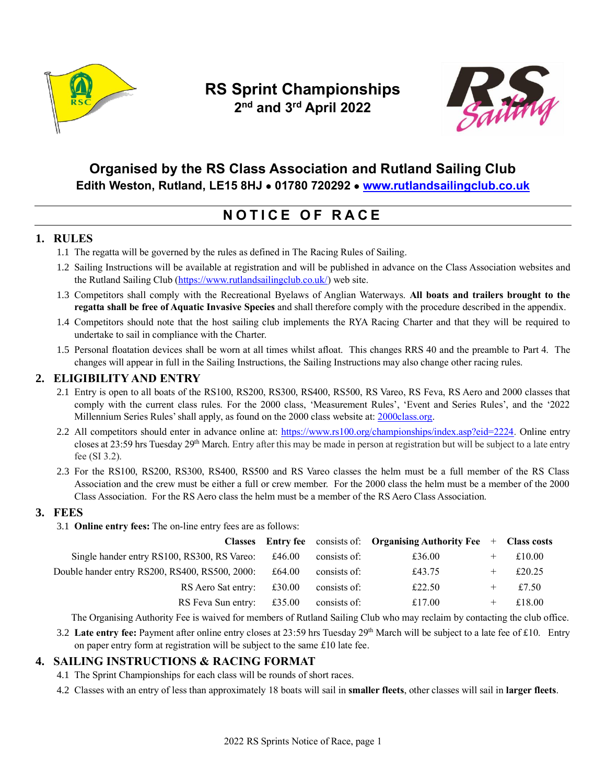

# **RS Sprint Championships 2 nd and 3rd April 2022**



## **Organised by the RS Class Association and Rutland Sailing Club Edith Weston, Rutland, LE15 8HJ** • **01780 720292** • **[www.rutlandsailingclub.co.uk](http://www.rutlandsailingclub.co.uk/)**

# **N O T I C E O F R A C E**

## **1. RULES**

- 1.1 The regatta will be governed by the rules as defined in The Racing Rules of Sailing.
- 1.2 Sailing Instructions will be available at registration and will be published in advance on the Class Association websites and the Rutland Sailing Club [\(https://www.rutlandsailingclub.co.uk/\)](https://www.rutlandsailingclub.co.uk/) web site.
- 1.3 Competitors shall comply with the Recreational Byelaws of Anglian Waterways. **All boats and trailers brought to the regatta shall be free of Aquatic Invasive Species** and shall therefore comply with the procedure described in the appendix.
- 1.4 Competitors should note that the host sailing club implements the RYA Racing Charter and that they will be required to undertake to sail in compliance with the Charter.
- 1.5 Personal floatation devices shall be worn at all times whilst afloat. This changes RRS 40 and the preamble to Part 4. The changes will appear in full in the Sailing Instructions, the Sailing Instructions may also change other racing rules.

### **2. ELIGIBILITY AND ENTRY**

- 2.1 Entry is open to all boats of the RS100, RS200, RS300, RS400, RS500, RS Vareo, RS Feva, RS Aero and 2000 classes that comply with the current class rules. For the 2000 class, 'Measurement Rules', 'Event and Series Rules', and the '2022 Millennium Series Rules' shall apply, as found on the 2000 class website at[: 2000class.org.](https://www.2000class.org/)
- 2.2 All competitors should enter in advance online at: [https://www.rs100.org/championships/index.asp?eid=2224.](https://www.rs100.org/championships/index.asp?eid=2224) Online entry closes at 23:59 hrs Tuesday 29<sup>th</sup> March. Entry after this may be made in person at registration but will be subject to a late entry fee (SI 3.2).
- 2.3 For the RS100, RS200, RS300, RS400, RS500 and RS Vareo classes the helm must be a full member of the RS Class Association and the crew must be either a full or crew member. For the 2000 class the helm must be a member of the 2000 Class Association. For the RS Aero class the helm must be a member of the RS Aero Class Association.

### **3. FEES**

3.1 **Online entry fees:** The on-line entry fees are as follows:

|                                                |        |              | <b>Classes</b> Entry fee consists of: Organising Authority Fee $+$ Class costs |        |
|------------------------------------------------|--------|--------------|--------------------------------------------------------------------------------|--------|
| Single hander entry RS100, RS300, RS Vareo:    | £46.00 | consists of: | £36.00                                                                         | £10.00 |
| Double hander entry RS200, RS400, RS500, 2000: | £64.00 | consists of: | £43.75                                                                         | £20.25 |
| RS Aero Sat entry: £30.00                      |        | consists of: | £22.50                                                                         | £7.50  |
| RS Feva Sun entry: $£35.00$                    |        | consists of: | £17.00                                                                         | £18.00 |

The Organising Authority Fee is waived for members of Rutland Sailing Club who may reclaim by contacting the club office.

3.2 **Late entry fee:** Payment after online entry closes at 23:59 hrs Tuesday 29th March will be subject to a late fee of £10. Entry on paper entry form at registration will be subject to the same £10 late fee.

### **4. SAILING INSTRUCTIONS & RACING FORMAT**

- 4.1 The Sprint Championships for each class will be rounds of short races.
- 4.2 Classes with an entry of less than approximately 18 boats will sail in **smaller fleets**, other classes will sail in **larger fleets**.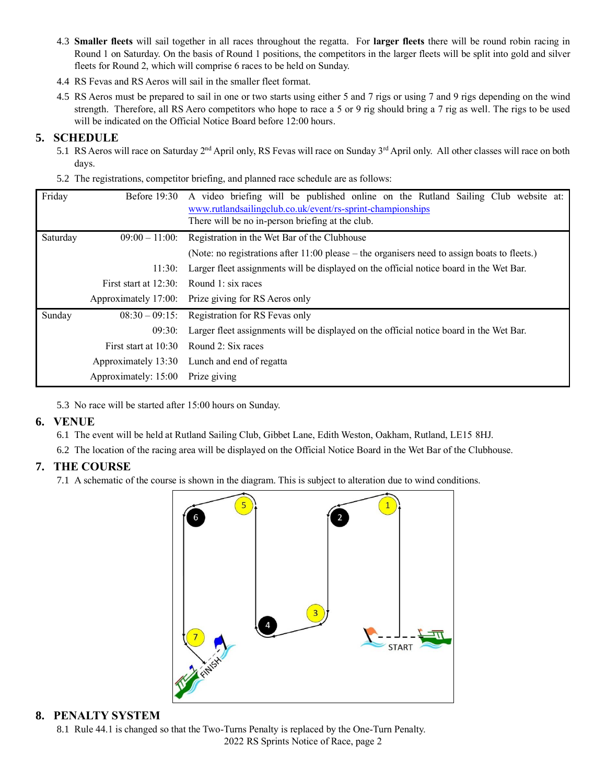- 4.3 **Smaller fleets** will sail together in all races throughout the regatta. For **larger fleets** there will be round robin racing in Round 1 on Saturday. On the basis of Round 1 positions, the competitors in the larger fleets will be split into gold and silver fleets for Round 2, which will comprise 6 races to be held on Sunday.
- 4.4 RS Fevas and RS Aeros will sail in the smaller fleet format.
- 4.5 RS Aeros must be prepared to sail in one or two starts using either 5 and 7 rigs or using 7 and 9 rigs depending on the wind strength. Therefore, all RS Aero competitors who hope to race a 5 or 9 rig should bring a 7 rig as well. The rigs to be used will be indicated on the Official Notice Board before 12:00 hours.

### **5. SCHEDULE**

- 5.1 RS Aeros will race on Saturday 2<sup>nd</sup> April only, RS Fevas will race on Sunday 3<sup>rd</sup> April only. All other classes will race on both days.
- 5.2 The registrations, competitor briefing, and planned race schedule are as follows:

| Friday   | <b>Before 19:30</b>                      | A video briefing will be published online on the Rutland Sailing Club website at:<br>www.rutlandsailingclub.co.uk/event/rs-sprint-championships<br>There will be no in-person briefing at the club. |  |  |
|----------|------------------------------------------|-----------------------------------------------------------------------------------------------------------------------------------------------------------------------------------------------------|--|--|
| Saturday | $09:00 - 11:00$                          | Registration in the Wet Bar of the Clubhouse                                                                                                                                                        |  |  |
|          |                                          | (Note: no registrations after $11:00$ please – the organisers need to assign boats to fleets.)                                                                                                      |  |  |
|          | 11:30:                                   | Larger fleet assignments will be displayed on the official notice board in the Wet Bar.                                                                                                             |  |  |
|          | First start at 12:30: Round 1: six races |                                                                                                                                                                                                     |  |  |
|          |                                          | Approximately 17:00: Prize giving for RS Aeros only                                                                                                                                                 |  |  |
| Sunday   |                                          | $08:30 - 09:15$ : Registration for RS Fevas only                                                                                                                                                    |  |  |
|          | 09:30:                                   | Larger fleet assignments will be displayed on the official notice board in the Wet Bar.                                                                                                             |  |  |
|          |                                          | First start at 10:30 Round 2: Six races                                                                                                                                                             |  |  |
|          |                                          | Approximately 13:30 Lunch and end of regatta                                                                                                                                                        |  |  |
|          | Approximately: 15:00 Prize giving        |                                                                                                                                                                                                     |  |  |

5.3 No race will be started after 15:00 hours on Sunday.

#### **6. VENUE**

6.1 The event will be held at Rutland Sailing Club, Gibbet Lane, Edith Weston, Oakham, Rutland, LE15 8HJ.

6.2 The location of the racing area will be displayed on the Official Notice Board in the Wet Bar of the Clubhouse.

### **7. THE COURSE**

7.1 A schematic of the course is shown in the diagram. This is subject to alteration due to wind conditions.



#### **8. PENALTY SYSTEM**

2022 RS Sprints Notice of Race, page 2 8.1 Rule 44.1 is changed so that the Two-Turns Penalty is replaced by the One-Turn Penalty.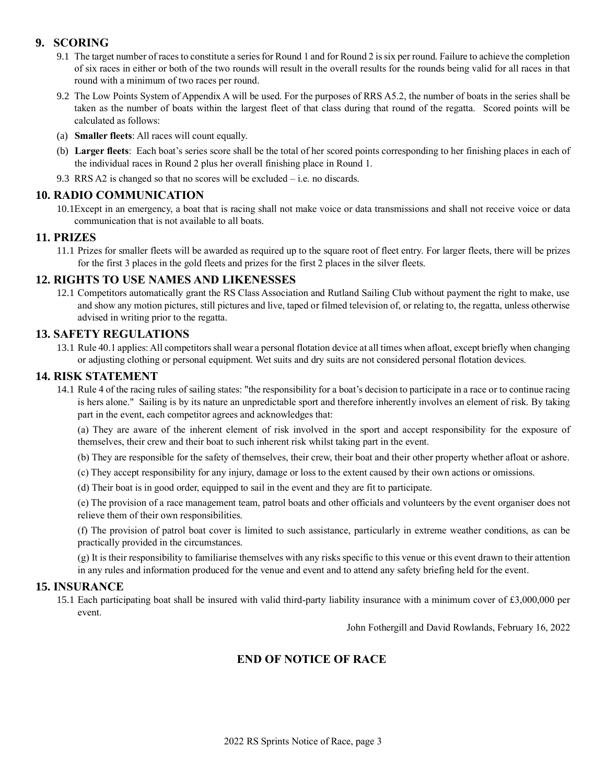### **9. SCORING**

- 9.1 The target number of races to constitute a series for Round 1 and for Round 2 is six per round. Failure to achieve the completion of six races in either or both of the two rounds will result in the overall results for the rounds being valid for all races in that round with a minimum of two races per round.
- 9.2 The Low Points System of Appendix A will be used. For the purposes of RRS A5.2, the number of boats in the series shall be taken as the number of boats within the largest fleet of that class during that round of the regatta. Scored points will be calculated as follows:
- (a) **Smaller fleets**: All races will count equally.
- (b) **Larger fleets**: Each boat's series score shall be the total of her scored points corresponding to her finishing places in each of the individual races in Round 2 plus her overall finishing place in Round 1.
- 9.3 RRS A2 is changed so that no scores will be excluded i.e. no discards.

## **10. RADIO COMMUNICATION**

10.1Except in an emergency, a boat that is racing shall not make voice or data transmissions and shall not receive voice or data communication that is not available to all boats.

#### **11. PRIZES**

11.1 Prizes for smaller fleets will be awarded as required up to the square root of fleet entry. For larger fleets, there will be prizes for the first 3 places in the gold fleets and prizes for the first 2 places in the silver fleets.

### **12. RIGHTS TO USE NAMES AND LIKENESSES**

12.1 Competitors automatically grant the RS Class Association and Rutland Sailing Club without payment the right to make, use and show any motion pictures, still pictures and live, taped or filmed television of, or relating to, the regatta, unless otherwise advised in writing prior to the regatta.

#### **13. SAFETY REGULATIONS**

13.1 Rule 40.1 applies: All competitors shall wear a personal flotation device at all times when afloat, except briefly when changing or adjusting clothing or personal equipment. Wet suits and dry suits are not considered personal flotation devices.

#### **14. RISK STATEMENT**

14.1 Rule 4 of the racing rules of sailing states: "the responsibility for a boat's decision to participate in a race or to continue racing is hers alone." Sailing is by its nature an unpredictable sport and therefore inherently involves an element of risk. By taking part in the event, each competitor agrees and acknowledges that:

(a) They are aware of the inherent element of risk involved in the sport and accept responsibility for the exposure of themselves, their crew and their boat to such inherent risk whilst taking part in the event.

- (b) They are responsible for the safety of themselves, their crew, their boat and their other property whether afloat or ashore.
- (c) They accept responsibility for any injury, damage or loss to the extent caused by their own actions or omissions.
- (d) Their boat is in good order, equipped to sail in the event and they are fit to participate.

(e) The provision of a race management team, patrol boats and other officials and volunteers by the event organiser does not relieve them of their own responsibilities.

(f) The provision of patrol boat cover is limited to such assistance, particularly in extreme weather conditions, as can be practically provided in the circumstances.

(g) It is their responsibility to familiarise themselves with any risks specific to this venue or this event drawn to their attention in any rules and information produced for the venue and event and to attend any safety briefing held for the event.

#### **15. INSURANCE**

15.1 Each participating boat shall be insured with valid third-party liability insurance with a minimum cover of £3,000,000 per event.

John Fothergill and David Rowlands, February 16, 2022

## **END OF NOTICE OF RACE**